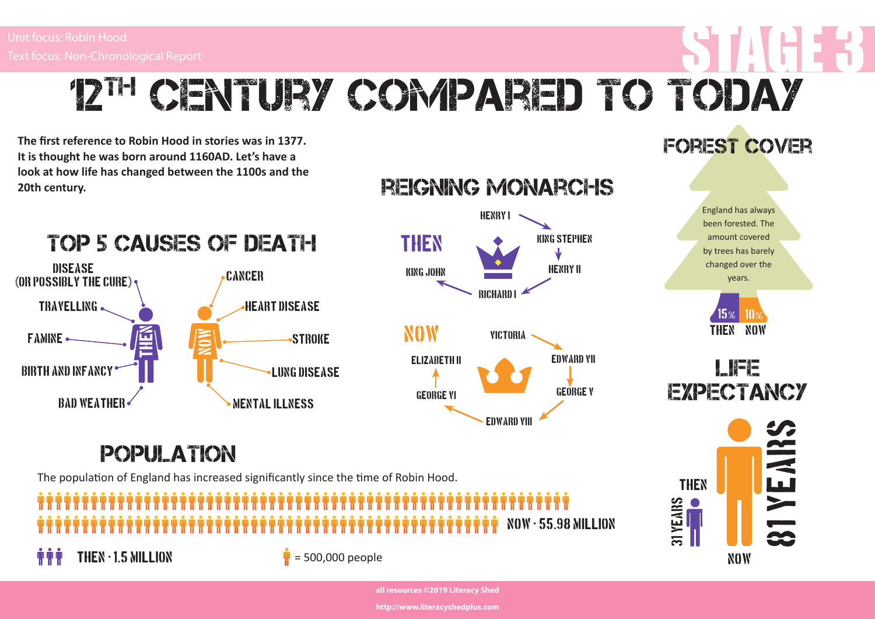Disease

TRAVELLING.

birth and infancy

bad weather

famine

# Unit focus: Robin Hood<br>Text focus: Non-Chronological Report<br>ALL AND THE STAGE 3 WERE STAGE 3 UNIT ON THE STAGE 3 UP OF THE STAGE 3 UP OF THE STAGE 3 UP OF THE STAGE 3 UP 12<sup>th</sup> CENTURY COMPARED TO TODAY

The first reference to Robin Hood in stories was in 1377. **It is thought he was born around 1160AD. Let's have a look at how life has changed between the 1100s and the 20th century.** 



## Population

The population of England has increased significantly since the time of Robin Hood.



#### Forest cover









**all resources ©2019 Literacy Shed** 

**http://www.literacyshedplus.com**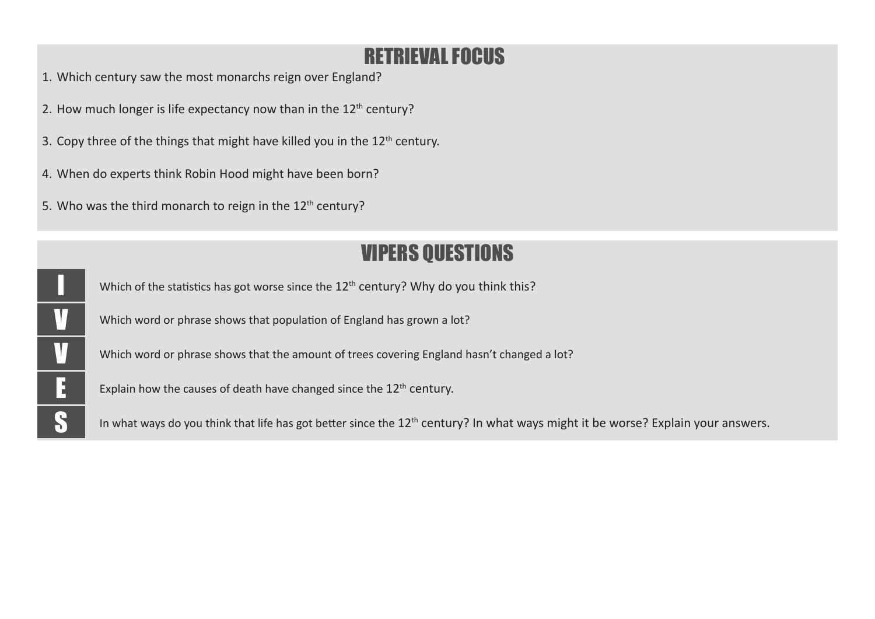## RETRIEVAL FOCUS

- 1. Which century saw the most monarchs reign over England?
- 2. How much longer is life expectancy now than in the  $12<sup>th</sup>$  century?
- 3. Copy three of the things that might have killed you in the  $12<sup>th</sup>$  century.
- 4. When do experts think Robin Hood might have been born?
- 5. Who was the third monarch to reign in the  $12<sup>th</sup>$  century?

### VIPERS QUESTIONS

Which of the statistics has got worse since the  $12<sup>th</sup>$  century? Why do you think this?

Which word or phrase shows that population of England has grown a lot?

V Which word or phrase shows that the amount of trees covering England hasn't changed a lot?

Explain how the causes of death have changed since the  $12<sup>th</sup>$  century.

In what ways do you think that life has got better since the  $12^{\text{th}}$  century? In what ways might it be worse? Explain your answers.